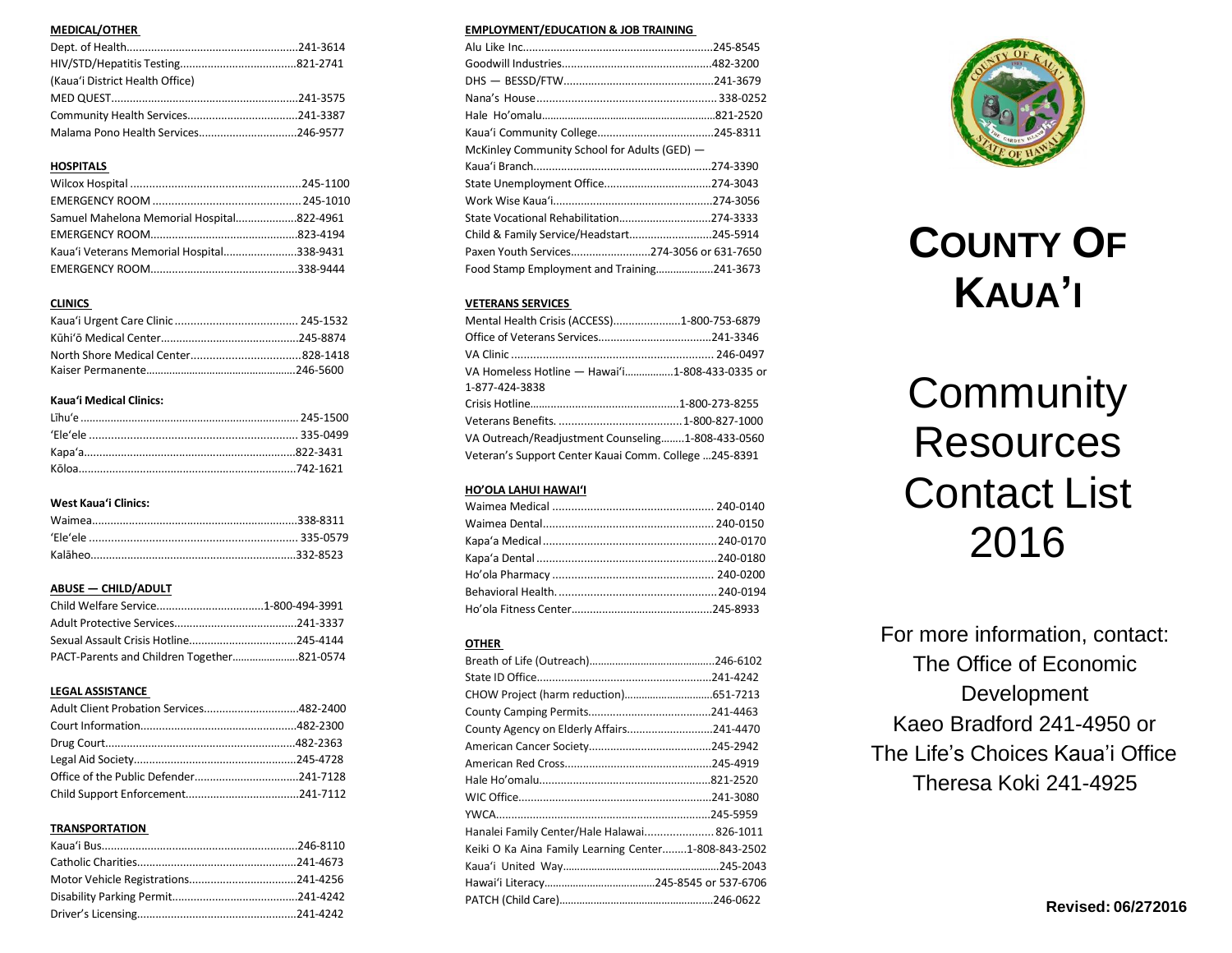# **MEDICAL/OTHER**

| (Kaua'i District Health Office) |  |
|---------------------------------|--|
|                                 |  |
|                                 |  |
|                                 |  |

# **HOSPITALS**

| Samuel Mahelona Memorial Hospital822-4961 |  |
|-------------------------------------------|--|
|                                           |  |
| Kaua'i Veterans Memorial Hospital338-9431 |  |
|                                           |  |

# **CLINICS**

# **Kaua'i Medical Clinics:**

# **West Kaua'i Clinics:**

# **ABUSE — CHILD/ADULT**

# **LEGAL ASSISTANCE**

# **TRANSPORTATION**

# **EMPLOYMENT/EDUCATION & JOB TRAINING**

| McKinley Community School for Adults (GED) - |  |
|----------------------------------------------|--|
|                                              |  |
|                                              |  |
|                                              |  |
|                                              |  |
| State Vocational Rehabilitation274-3333      |  |
| Child & Family Service/Headstart245-5914     |  |
| Paxen Youth Services274-3056 or 631-7650     |  |

# **VETERANS SERVICES**

| Mental Health Crisis (ACCESS)1-800-753-6879           |  |
|-------------------------------------------------------|--|
|                                                       |  |
|                                                       |  |
| VA Homeless Hotline - Hawai'i1-808-433-0335 or        |  |
| 1-877-424-3838                                        |  |
|                                                       |  |
|                                                       |  |
| VA Outreach/Readjustment Counseling1-808-433-0560     |  |
| Veteran's Support Center Kauai Comm. College 245-8391 |  |

# **HO'OLA LAHUI HAWAI'I**

# **OTHER**

| County Agency on Elderly Affairs241-4470             |  |
|------------------------------------------------------|--|
|                                                      |  |
|                                                      |  |
|                                                      |  |
|                                                      |  |
|                                                      |  |
| Hanalei Family Center/Hale Halawai 826-1011          |  |
| Keiki O Ka Aina Family Learning Center1-808-843-2502 |  |
|                                                      |  |
|                                                      |  |
|                                                      |  |
|                                                      |  |



# **COUNTY OF KAUA'I**

# **Community Resources** Contact List 2016

For more information, contact: The Office of Economic Development Kaeo Bradford 241-4950 or The Life's Choices Kaua'i Office Theresa Koki 241-4925